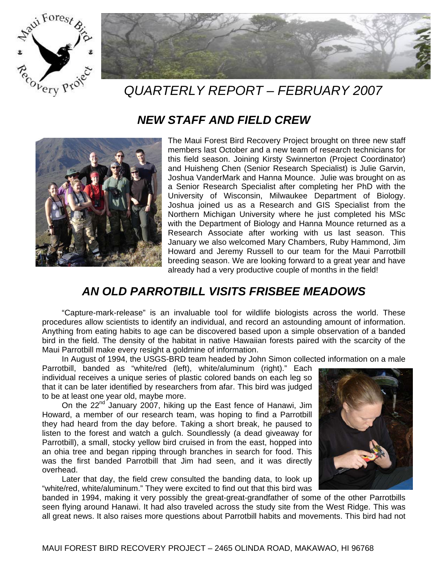



# *QUARTERLY REPORT – FEBRUARY 2007*

#### *NEW STAFF AND FIELD CREW*



The Maui Forest Bird Recovery Project brought on three new staff members last October and a new team of research technicians for this field season. Joining Kirsty Swinnerton (Project Coordinator) and Huisheng Chen (Senior Research Specialist) is Julie Garvin, Joshua VanderMark and Hanna Mounce. Julie was brought on as a Senior Research Specialist after completing her PhD with the University of Wisconsin, Milwaukee Department of Biology. Joshua joined us as a Research and GIS Specialist from the Northern Michigan University where he just completed his MSc with the Department of Biology and Hanna Mounce returned as a Research Associate after working with us last season. This January we also welcomed Mary Chambers, Ruby Hammond, Jim Howard and Jeremy Russell to our team for the Maui Parrotbill breeding season. We are looking forward to a great year and have already had a very productive couple of months in the field!

### *AN OLD PARROTBILL VISITS FRISBEE MEADOWS*

"Capture-mark-release" is an invaluable tool for wildlife biologists across the world. These procedures allow scientists to identify an individual, and record an astounding amount of information. Anything from eating habits to age can be discovered based upon a simple observation of a banded bird in the field. The density of the habitat in native Hawaiian forests paired with the scarcity of the Maui Parrotbill make every resight a goldmine of information.

In August of 1994, the USGS-BRD team headed by John Simon collected information on a male

Parrotbill, banded as "white/red (left), white/aluminum (right)." Each individual receives a unique series of plastic colored bands on each leg so that it can be later identified by researchers from afar. This bird was judged to be at least one year old, maybe more.

On the 22<sup>nd</sup> January 2007, hiking up the East fence of Hanawi, Jim Howard, a member of our research team, was hoping to find a Parrotbill they had heard from the day before. Taking a short break, he paused to listen to the forest and watch a gulch. Soundlessly (a dead giveaway for Parrotbill), a small, stocky yellow bird cruised in from the east, hopped into an ohia tree and began ripping through branches in search for food. This was the first banded Parrotbill that Jim had seen, and it was directly overhead.

Later that day, the field crew consulted the banding data, to look up "white/red, white/aluminum." They were excited to find out that this bird was



banded in 1994, making it very possibly the great-great-grandfather of some of the other Parrotbills seen flying around Hanawi. It had also traveled across the study site from the West Ridge. This was all great news. It also raises more questions about Parrotbill habits and movements. This bird had not